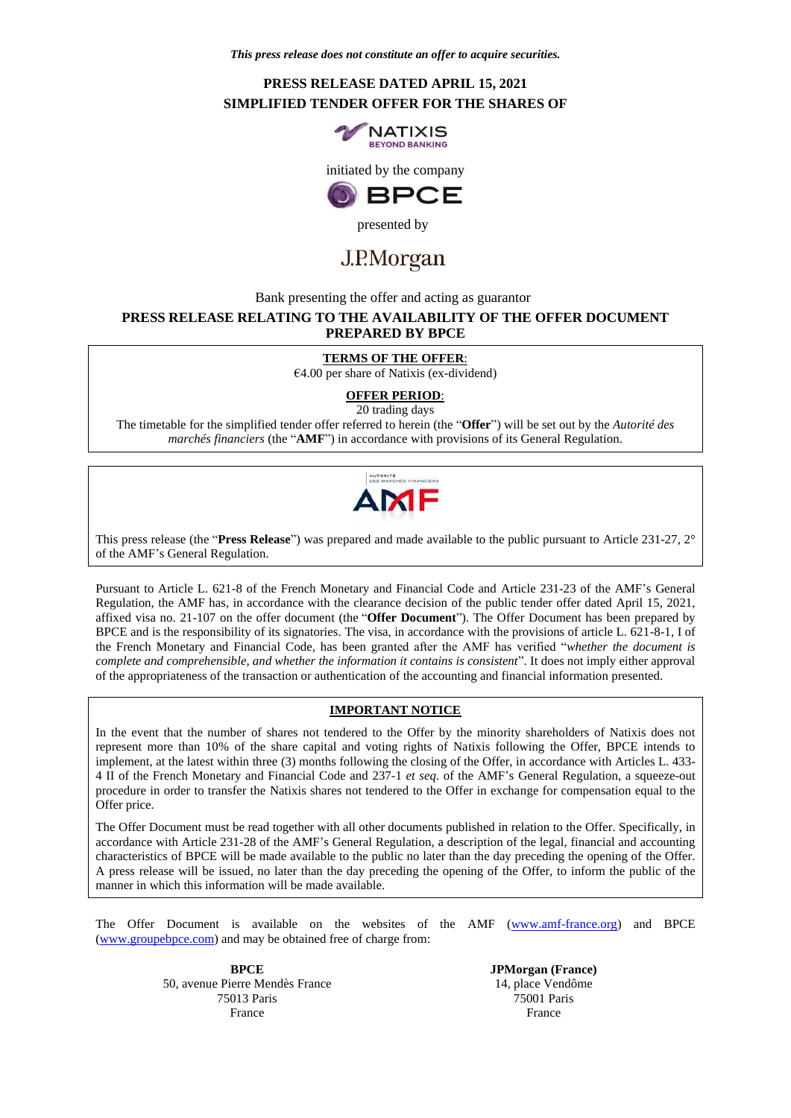## **PRESS RELEASE DATED APRIL 15, 2021 SIMPLIFIED TENDER OFFER FOR THE SHARES OF**



initiated by the company



presented by

# J.P.Morgan

#### Bank presenting the offer and acting as guarantor **PRESS RELEASE RELATING TO THE AVAILABILITY OF THE OFFER DOCUMENT PREPARED BY BPCE**

#### **TERMS OF THE OFFER**:

 $€4.00$  per share of Natixis (ex-dividend)

**OFFER PERIOD**:

20 trading days

The timetable for the simplified tender offer referred to herein (the "**Offer**") will be set out by the *Autorité des marchés financiers* (the "AMF") in accordance with provisions of its General Regulation.



This press release (the "**Press Release**") was prepared and made available to the public pursuant to Article 231-27, 2° of the AMF's General Regulation.

Pursuant to Article L. 621-8 of the French Monetary and Financial Code and Article 231-23 of the AMF's General Regulation, the AMF has, in accordance with the clearance decision of the public tender offer dated April 15, 2021, affixed visa no. 21-107 on the offer document (the "**Offer Document**"). The Offer Document has been prepared by BPCE and is the responsibility of its signatories. The visa, in accordance with the provisions of article L. 621-8-1, I of the French Monetary and Financial Code, has been granted after the AMF has verified "*whether the document is complete and comprehensible, and whether the information it contains is consistent*". It does not imply either approval of the appropriateness of the transaction or authentication of the accounting and financial information presented.

#### **IMPORTANT NOTICE**

In the event that the number of shares not tendered to the Offer by the minority shareholders of Natixis does not represent more than 10% of the share capital and voting rights of Natixis following the Offer, BPCE intends to implement, at the latest within three (3) months following the closing of the Offer, in accordance with Articles L. 433- 4 II of the French Monetary and Financial Code and 237-1 *et seq*. of the AMF's General Regulation, a squeeze-out procedure in order to transfer the Natixis shares not tendered to the Offer in exchange for compensation equal to the Offer price.

The Offer Document must be read together with all other documents published in relation to the Offer. Specifically, in accordance with Article 231-28 of the AMF's General Regulation, a description of the legal, financial and accounting characteristics of BPCE will be made available to the public no later than the day preceding the opening of the Offer. A press release will be issued, no later than the day preceding the opening of the Offer, to inform the public of the manner in which this information will be made available.

The Offer Document is available on the websites of the AMF (www.amf-france.org) and BPCE (www.groupebpce.com) and may be obtained free of charge from:

> **BPCE** 50, avenue Pierre Mendès France 75013 Paris France

**JPMorgan (France)** 14, place Vendôme 75001 Paris France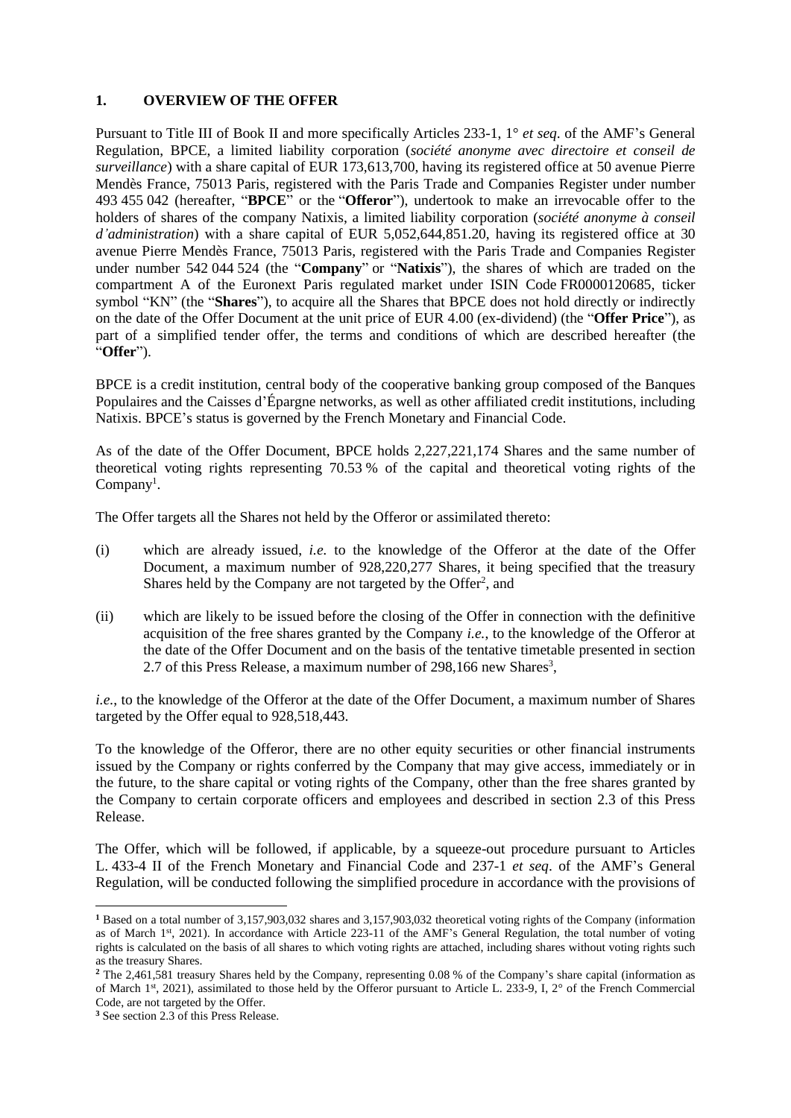## **1. OVERVIEW OF THE OFFER**

Pursuant to Title III of Book II and more specifically Articles 233-1, 1° *et seq*. of the AMF's General Regulation, BPCE, a limited liability corporation (*société anonyme avec directoire et conseil de surveillance*) with a share capital of EUR 173,613,700, having its registered office at 50 avenue Pierre Mendès France, 75013 Paris, registered with the Paris Trade and Companies Register under number 493 455 042 (hereafter, "**BPCE**" or the "**Offeror**"), undertook to make an irrevocable offer to the holders of shares of the company Natixis, a limited liability corporation (*société anonyme à conseil d'administration*) with a share capital of EUR 5,052,644,851.20, having its registered office at 30 avenue Pierre Mendès France, 75013 Paris, registered with the Paris Trade and Companies Register under number 542 044 524 (the "**Company**" or "**Natixis**"), the shares of which are traded on the compartment A of the Euronext Paris regulated market under ISIN Code FR0000120685, ticker symbol "KN" (the "**Shares**"), to acquire all the Shares that BPCE does not hold directly or indirectly on the date of the Offer Document at the unit price of EUR 4.00 (ex-dividend) (the "**Offer Price**"), as part of a simplified tender offer, the terms and conditions of which are described hereafter (the "**Offer**").

BPCE is a credit institution, central body of the cooperative banking group composed of the Banques Populaires and the Caisses d'Épargne networks, as well as other affiliated credit institutions, including Natixis. BPCE's status is governed by the French Monetary and Financial Code.

As of the date of the Offer Document, BPCE holds 2,227,221,174 Shares and the same number of theoretical voting rights representing 70.53 % of the capital and theoretical voting rights of the Company<sup>1</sup>.

The Offer targets all the Shares not held by the Offeror or assimilated thereto:

- (i) which are already issued, *i.e.* to the knowledge of the Offeror at the date of the Offer Document, a maximum number of 928,220,277 Shares, it being specified that the treasury Shares held by the Company are not targeted by the Offer<sup>2</sup>, and
- (ii) which are likely to be issued before the closing of the Offer in connection with the definitive acquisition of the free shares granted by the Company *i.e.*, to the knowledge of the Offeror at the date of the Offer Document and on the basis of the tentative timetable presented in section 2.7 of this Press Release, a maximum number of  $298,166$  new Shares<sup>3</sup>,

*i.e.*, to the knowledge of the Offeror at the date of the Offer Document, a maximum number of Shares targeted by the Offer equal to 928,518,443.

To the knowledge of the Offeror, there are no other equity securities or other financial instruments issued by the Company or rights conferred by the Company that may give access, immediately or in the future, to the share capital or voting rights of the Company, other than the free shares granted by the Company to certain corporate officers and employees and described in section 2.3 of this Press Release.

The Offer, which will be followed, if applicable, by a squeeze-out procedure pursuant to Articles L. 433-4 II of the French Monetary and Financial Code and 237-1 *et seq*. of the AMF's General Regulation, will be conducted following the simplified procedure in accordance with the provisions of

**<sup>1</sup>** Based on a total number of 3,157,903,032 shares and 3,157,903,032 theoretical voting rights of the Company (information as of March 1st, 2021). In accordance with Article 223-11 of the AMF's General Regulation, the total number of voting rights is calculated on the basis of all shares to which voting rights are attached, including shares without voting rights such as the treasury Shares.

**<sup>2</sup>** The 2,461,581 treasury Shares held by the Company, representing 0.08 % of the Company's share capital (information as of March 1st, 2021), assimilated to those held by the Offeror pursuant to Article L. 233-9, I, 2° of the French Commercial Code, are not targeted by the Offer.

**<sup>3</sup>** See section 2.3 of this Press Release.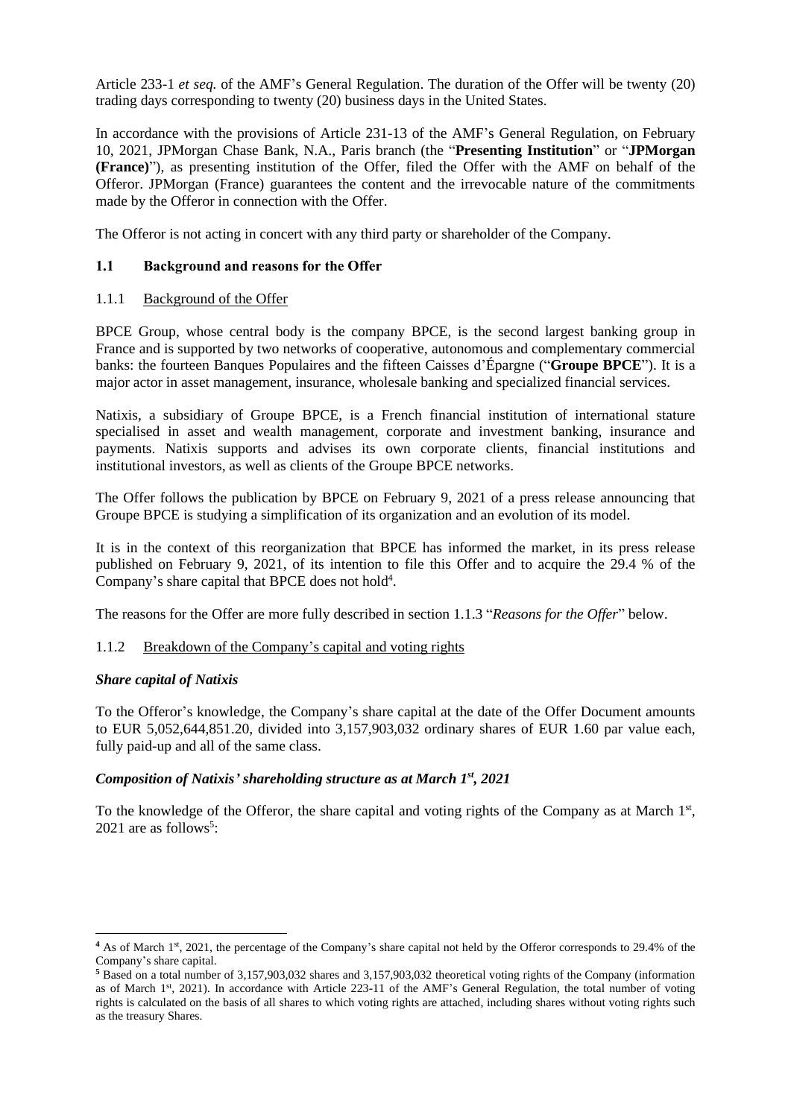Article 233-1 *et seq.* of the AMF's General Regulation. The duration of the Offer will be twenty (20) trading days corresponding to twenty (20) business days in the United States.

In accordance with the provisions of Article 231-13 of the AMF's General Regulation, on February 10, 2021, JPMorgan Chase Bank, N.A., Paris branch (the "**Presenting Institution**" or "**JPMorgan (France)**"), as presenting institution of the Offer, filed the Offer with the AMF on behalf of the Offeror. JPMorgan (France) guarantees the content and the irrevocable nature of the commitments made by the Offeror in connection with the Offer.

The Offeror is not acting in concert with any third party or shareholder of the Company.

## **1.1 Background and reasons for the Offer**

## 1.1.1 Background of the Offer

BPCE Group, whose central body is the company BPCE, is the second largest banking group in France and is supported by two networks of cooperative, autonomous and complementary commercial banks: the fourteen Banques Populaires and the fifteen Caisses d'Épargne ("**Groupe BPCE**"). It is a major actor in asset management, insurance, wholesale banking and specialized financial services.

Natixis, a subsidiary of Groupe BPCE, is a French financial institution of international stature specialised in asset and wealth management, corporate and investment banking, insurance and payments. Natixis supports and advises its own corporate clients, financial institutions and institutional investors, as well as clients of the Groupe BPCE networks.

The Offer follows the publication by BPCE on February 9, 2021 of a press release announcing that Groupe BPCE is studying a simplification of its organization and an evolution of its model.

It is in the context of this reorganization that BPCE has informed the market, in its press release published on February 9, 2021, of its intention to file this Offer and to acquire the 29.4 % of the Company's share capital that BPCE does not hold<sup>4</sup>.

The reasons for the Offer are more fully described in section 1.1.3 "*Reasons for the Offer*" below.

#### 1.1.2 Breakdown of the Company's capital and voting rights

## *Share capital of Natixis*

To the Offeror's knowledge, the Company's share capital at the date of the Offer Document amounts to EUR 5,052,644,851.20, divided into 3,157,903,032 ordinary shares of EUR 1.60 par value each, fully paid-up and all of the same class.

### *Composition of Natixis' shareholding structure as at March 1st , 2021*

To the knowledge of the Offeror, the share capital and voting rights of the Company as at March 1st,  $2021$  are as follows<sup>5</sup>:

<sup>&</sup>lt;sup>4</sup> As of March 1<sup>st</sup>, 2021, the percentage of the Company's share capital not held by the Offeror corresponds to 29.4% of the Company's share capital.

**<sup>5</sup>** Based on a total number of 3,157,903,032 shares and 3,157,903,032 theoretical voting rights of the Company (information as of March 1st, 2021). In accordance with Article 223-11 of the AMF's General Regulation, the total number of voting rights is calculated on the basis of all shares to which voting rights are attached, including shares without voting rights such as the treasury Shares.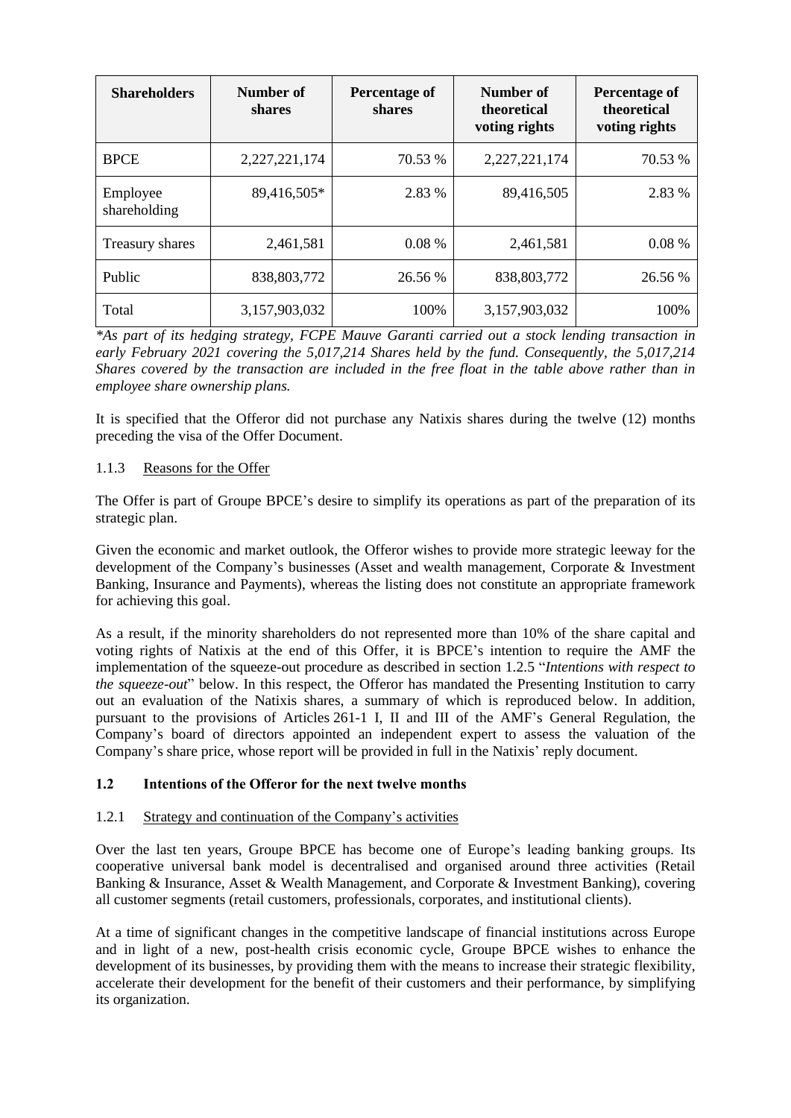| <b>Shareholders</b>      | Number of<br>shares | Percentage of<br>shares | Number of<br>theoretical<br>voting rights | Percentage of<br>theoretical<br>voting rights |  |
|--------------------------|---------------------|-------------------------|-------------------------------------------|-----------------------------------------------|--|
| <b>BPCE</b>              | 2,227,221,174       | 70.53 %                 | 2,227,221,174                             | 70.53 %                                       |  |
| Employee<br>shareholding | 89,416,505*         | 2.83 %                  | 89,416,505                                | 2.83 %                                        |  |
| Treasury shares          | 2,461,581           | 0.08%                   | 2,461,581                                 | 0.08%                                         |  |
| Public                   | 838,803,772         | 26.56 %                 | 838,803,772                               | 26.56 %                                       |  |
| Total                    | 3,157,903,032       | 100%                    | 3,157,903,032                             | 100%                                          |  |

*\*As part of its hedging strategy, FCPE Mauve Garanti carried out a stock lending transaction in early February 2021 covering the 5,017,214 Shares held by the fund. Consequently, the 5,017,214 Shares covered by the transaction are included in the free float in the table above rather than in employee share ownership plans.*

It is specified that the Offeror did not purchase any Natixis shares during the twelve (12) months preceding the visa of the Offer Document.

## 1.1.3 Reasons for the Offer

The Offer is part of Groupe BPCE's desire to simplify its operations as part of the preparation of its strategic plan.

Given the economic and market outlook, the Offeror wishes to provide more strategic leeway for the development of the Company's businesses (Asset and wealth management, Corporate & Investment Banking, Insurance and Payments), whereas the listing does not constitute an appropriate framework for achieving this goal.

As a result, if the minority shareholders do not represented more than 10% of the share capital and voting rights of Natixis at the end of this Offer, it is BPCE's intention to require the AMF the implementation of the squeeze-out procedure as described in section 1.2.5 "*Intentions with respect to the squeeze-out*" below. In this respect, the Offeror has mandated the Presenting Institution to carry out an evaluation of the Natixis shares, a summary of which is reproduced below. In addition, pursuant to the provisions of Articles 261-1 I, II and III of the AMF's General Regulation, the Company's board of directors appointed an independent expert to assess the valuation of the Company's share price, whose report will be provided in full in the Natixis' reply document.

#### **1.2 Intentions of the Offeror for the next twelve months**

#### 1.2.1 Strategy and continuation of the Company's activities

Over the last ten years, Groupe BPCE has become one of Europe's leading banking groups. Its cooperative universal bank model is decentralised and organised around three activities (Retail Banking & Insurance, Asset & Wealth Management, and Corporate & Investment Banking), covering all customer segments (retail customers, professionals, corporates, and institutional clients).

At a time of significant changes in the competitive landscape of financial institutions across Europe and in light of a new, post-health crisis economic cycle, Groupe BPCE wishes to enhance the development of its businesses, by providing them with the means to increase their strategic flexibility, accelerate their development for the benefit of their customers and their performance, by simplifying its organization.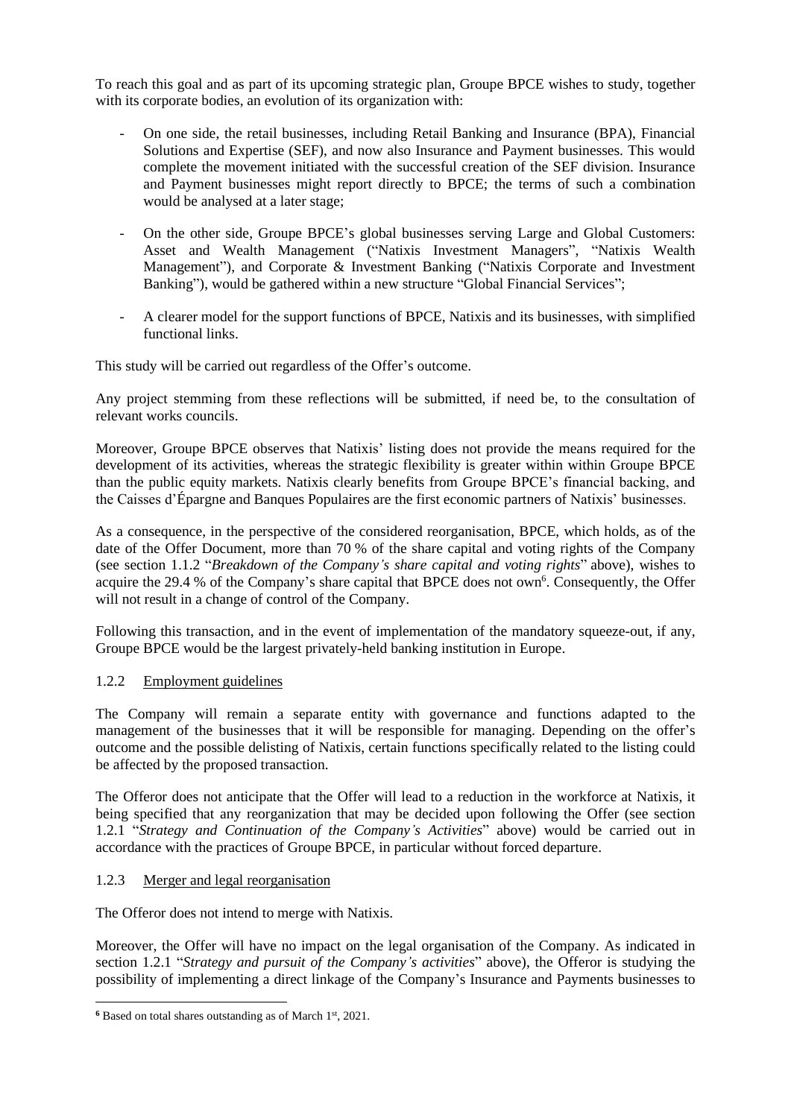To reach this goal and as part of its upcoming strategic plan, Groupe BPCE wishes to study, together with its corporate bodies, an evolution of its organization with:

- On one side, the retail businesses, including Retail Banking and Insurance (BPA), Financial Solutions and Expertise (SEF), and now also Insurance and Payment businesses. This would complete the movement initiated with the successful creation of the SEF division. Insurance and Payment businesses might report directly to BPCE; the terms of such a combination would be analysed at a later stage;
- On the other side, Groupe BPCE's global businesses serving Large and Global Customers: Asset and Wealth Management ("Natixis Investment Managers", "Natixis Wealth Management"), and Corporate & Investment Banking ("Natixis Corporate and Investment Banking"), would be gathered within a new structure "Global Financial Services";
- A clearer model for the support functions of BPCE, Natixis and its businesses, with simplified functional links.

This study will be carried out regardless of the Offer's outcome.

Any project stemming from these reflections will be submitted, if need be, to the consultation of relevant works councils.

Moreover, Groupe BPCE observes that Natixis' listing does not provide the means required for the development of its activities, whereas the strategic flexibility is greater within within Groupe BPCE than the public equity markets. Natixis clearly benefits from Groupe BPCE's financial backing, and the Caisses d'Épargne and Banques Populaires are the first economic partners of Natixis' businesses.

As a consequence, in the perspective of the considered reorganisation, BPCE, which holds, as of the date of the Offer Document, more than 70 % of the share capital and voting rights of the Company (see section 1.1.2 "*Breakdown of the Company's share capital and voting rights*" above), wishes to acquire the 29.4 % of the Company's share capital that BPCE does not own<sup>6</sup>. Consequently, the Offer will not result in a change of control of the Company.

Following this transaction, and in the event of implementation of the mandatory squeeze-out, if any, Groupe BPCE would be the largest privately-held banking institution in Europe.

#### 1.2.2 Employment guidelines

The Company will remain a separate entity with governance and functions adapted to the management of the businesses that it will be responsible for managing. Depending on the offer's outcome and the possible delisting of Natixis, certain functions specifically related to the listing could be affected by the proposed transaction.

The Offeror does not anticipate that the Offer will lead to a reduction in the workforce at Natixis, it being specified that any reorganization that may be decided upon following the Offer (see section 1.2.1 "*Strategy and Continuation of the Company's Activities*" above) would be carried out in accordance with the practices of Groupe BPCE, in particular without forced departure.

#### 1.2.3 Merger and legal reorganisation

The Offeror does not intend to merge with Natixis.

Moreover, the Offer will have no impact on the legal organisation of the Company. As indicated in section 1.2.1 "*Strategy and pursuit of the Company's activities*" above), the Offeror is studying the possibility of implementing a direct linkage of the Company's Insurance and Payments businesses to

<sup>&</sup>lt;sup>6</sup> Based on total shares outstanding as of March 1<sup>st</sup>, 2021.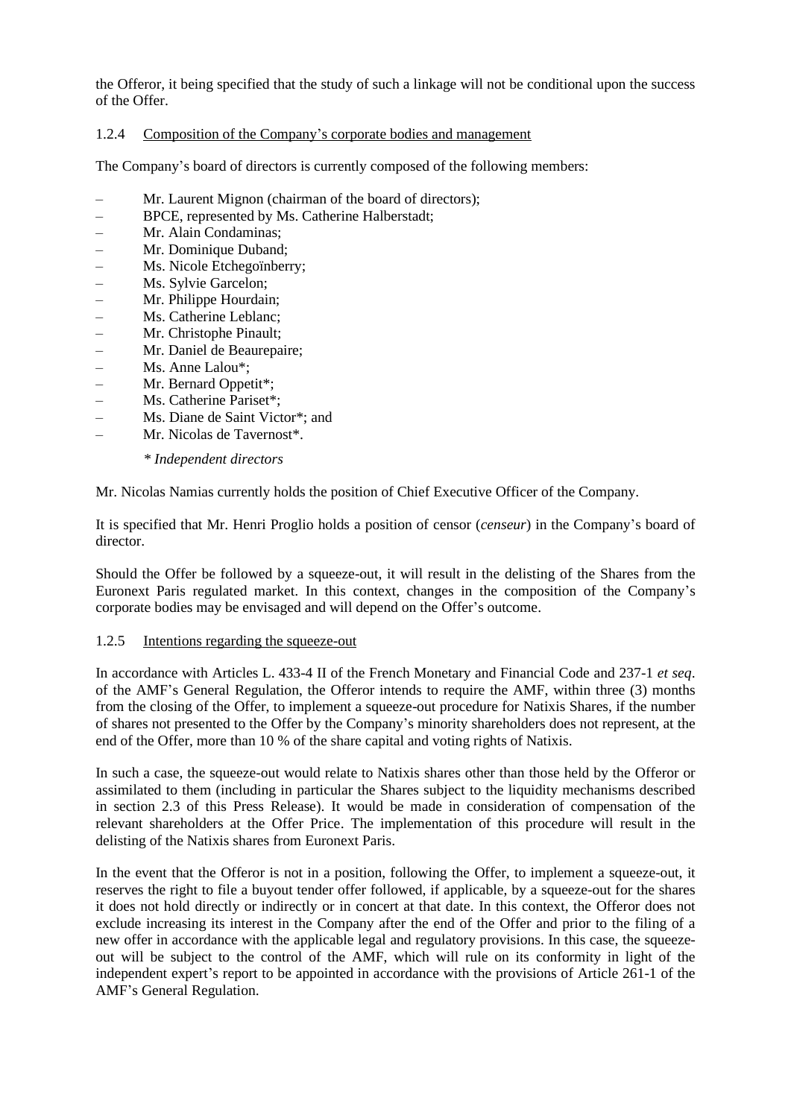the Offeror, it being specified that the study of such a linkage will not be conditional upon the success of the Offer.

## 1.2.4 Composition of the Company's corporate bodies and management

The Company's board of directors is currently composed of the following members:

- Mr. Laurent Mignon (chairman of the board of directors);
- ‒ BPCE, represented by Ms. Catherine Halberstadt;
- ‒ Mr. Alain Condaminas;
- Mr. Dominique Duband:
- ‒ Ms. Nicole Etchegoïnberry;
- ‒ Ms. Sylvie Garcelon;
- ‒ Mr. Philippe Hourdain;
- ‒ Ms. Catherine Leblanc;
- ‒ Mr. Christophe Pinault;
- ‒ Mr. Daniel de Beaurepaire;
- ‒ Ms. Anne Lalou\*;
- ‒ Mr. Bernard Oppetit\*;
- ‒ Ms. Catherine Pariset\*;
- ‒ Ms. Diane de Saint Victor\*; and
- ‒ Mr. Nicolas de Tavernost\*.

*\* Independent directors*

Mr. Nicolas Namias currently holds the position of Chief Executive Officer of the Company.

It is specified that Mr. Henri Proglio holds a position of censor (*censeur*) in the Company's board of director.

Should the Offer be followed by a squeeze-out, it will result in the delisting of the Shares from the Euronext Paris regulated market. In this context, changes in the composition of the Company's corporate bodies may be envisaged and will depend on the Offer's outcome.

#### 1.2.5 Intentions regarding the squeeze-out

In accordance with Articles L. 433-4 II of the French Monetary and Financial Code and 237-1 *et seq*. of the AMF's General Regulation, the Offeror intends to require the AMF, within three (3) months from the closing of the Offer, to implement a squeeze-out procedure for Natixis Shares, if the number of shares not presented to the Offer by the Company's minority shareholders does not represent, at the end of the Offer, more than 10 % of the share capital and voting rights of Natixis.

In such a case, the squeeze-out would relate to Natixis shares other than those held by the Offeror or assimilated to them (including in particular the Shares subject to the liquidity mechanisms described in section 2.3 of this Press Release). It would be made in consideration of compensation of the relevant shareholders at the Offer Price. The implementation of this procedure will result in the delisting of the Natixis shares from Euronext Paris.

In the event that the Offeror is not in a position, following the Offer, to implement a squeeze-out, it reserves the right to file a buyout tender offer followed, if applicable, by a squeeze-out for the shares it does not hold directly or indirectly or in concert at that date. In this context, the Offeror does not exclude increasing its interest in the Company after the end of the Offer and prior to the filing of a new offer in accordance with the applicable legal and regulatory provisions. In this case, the squeezeout will be subject to the control of the AMF, which will rule on its conformity in light of the independent expert's report to be appointed in accordance with the provisions of Article 261-1 of the AMF's General Regulation.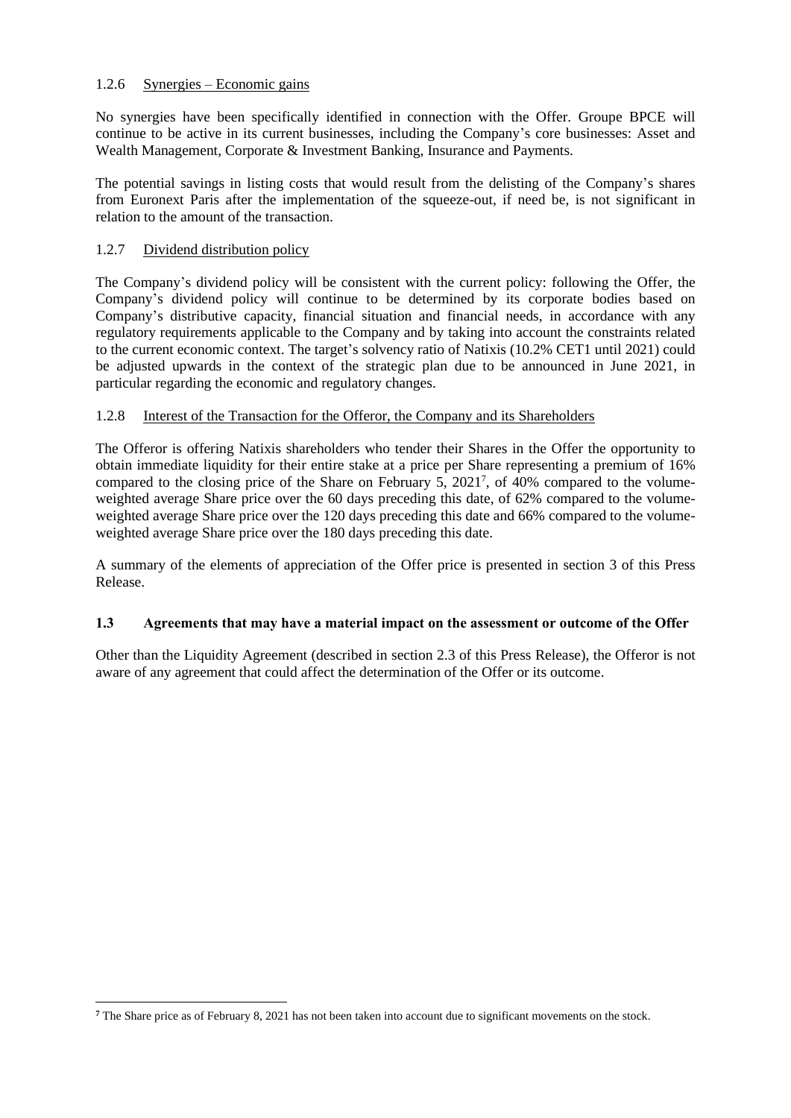## 1.2.6 Synergies – Economic gains

No synergies have been specifically identified in connection with the Offer. Groupe BPCE will continue to be active in its current businesses, including the Company's core businesses: Asset and Wealth Management, Corporate & Investment Banking, Insurance and Payments.

The potential savings in listing costs that would result from the delisting of the Company's shares from Euronext Paris after the implementation of the squeeze-out, if need be, is not significant in relation to the amount of the transaction.

## 1.2.7 Dividend distribution policy

The Company's dividend policy will be consistent with the current policy: following the Offer, the Company's dividend policy will continue to be determined by its corporate bodies based on Company's distributive capacity, financial situation and financial needs, in accordance with any regulatory requirements applicable to the Company and by taking into account the constraints related to the current economic context. The target's solvency ratio of Natixis (10.2% CET1 until 2021) could be adjusted upwards in the context of the strategic plan due to be announced in June 2021, in particular regarding the economic and regulatory changes.

## 1.2.8 Interest of the Transaction for the Offeror, the Company and its Shareholders

The Offeror is offering Natixis shareholders who tender their Shares in the Offer the opportunity to obtain immediate liquidity for their entire stake at a price per Share representing a premium of 16% compared to the closing price of the Share on February 5, 2021<sup>7</sup>, of 40% compared to the volumeweighted average Share price over the 60 days preceding this date, of 62% compared to the volumeweighted average Share price over the 120 days preceding this date and 66% compared to the volumeweighted average Share price over the 180 days preceding this date.

A summary of the elements of appreciation of the Offer price is presented in section 3 of this Press Release.

## **1.3 Agreements that may have a material impact on the assessment or outcome of the Offer**

Other than the Liquidity Agreement (described in section 2.3 of this Press Release), the Offeror is not aware of any agreement that could affect the determination of the Offer or its outcome.

**<sup>7</sup>** The Share price as of February 8, 2021 has not been taken into account due to significant movements on the stock.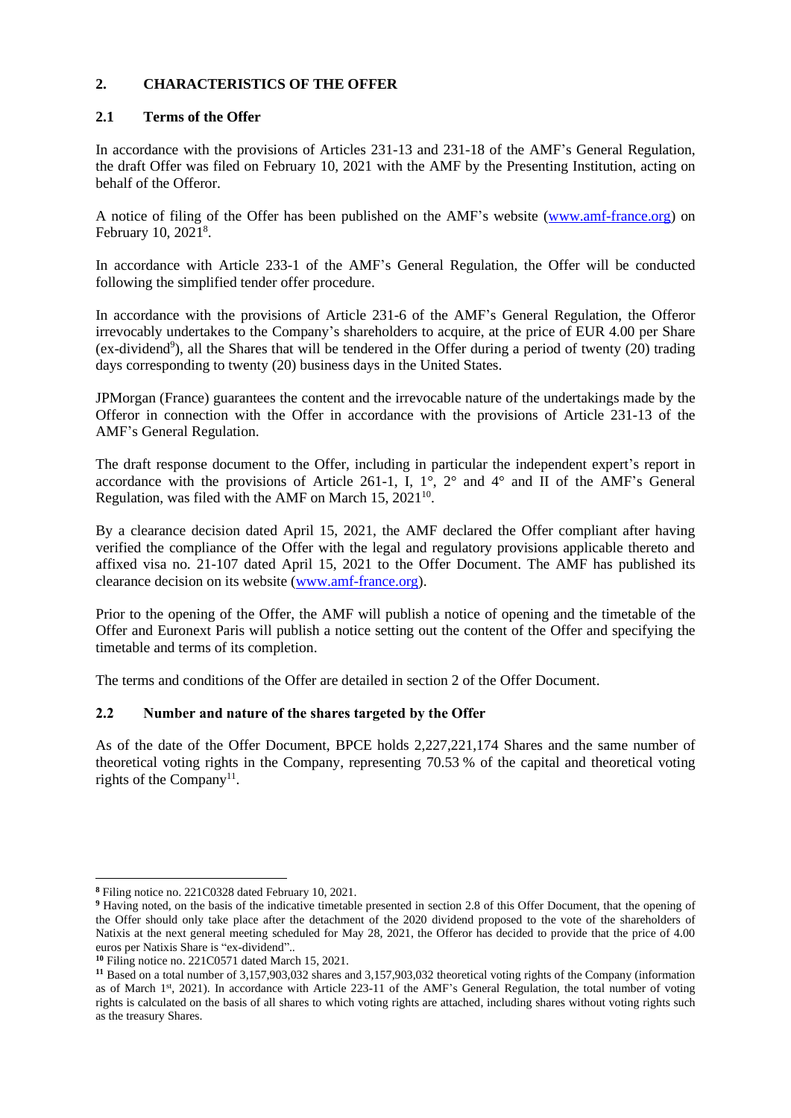## **2. CHARACTERISTICS OF THE OFFER**

### **2.1 Terms of the Offer**

In accordance with the provisions of Articles 231-13 and 231-18 of the AMF's General Regulation, the draft Offer was filed on February 10, 2021 with the AMF by the Presenting Institution, acting on behalf of the Offeror.

A notice of filing of the Offer has been published on the AMF's website (www.amf-france.org) on February 10, 2021<sup>8</sup>.

In accordance with Article 233-1 of the AMF's General Regulation, the Offer will be conducted following the simplified tender offer procedure.

In accordance with the provisions of Article 231-6 of the AMF's General Regulation, the Offeror irrevocably undertakes to the Company's shareholders to acquire, at the price of EUR 4.00 per Share  $(ex-dividend<sup>9</sup>)$ , all the Shares that will be tendered in the Offer during a period of twenty (20) trading days corresponding to twenty (20) business days in the United States.

JPMorgan (France) guarantees the content and the irrevocable nature of the undertakings made by the Offeror in connection with the Offer in accordance with the provisions of Article 231-13 of the AMF's General Regulation.

The draft response document to the Offer, including in particular the independent expert's report in accordance with the provisions of Article 261-1, I,  $1^\circ$ ,  $2^\circ$  and  $4^\circ$  and II of the AMF's General Regulation, was filed with the AMF on March 15, 2021<sup>10</sup>.

By a clearance decision dated April 15, 2021, the AMF declared the Offer compliant after having verified the compliance of the Offer with the legal and regulatory provisions applicable thereto and affixed visa no. 21-107 dated April 15, 2021 to the Offer Document. The AMF has published its clearance decision on its website (www.amf-france.org).

Prior to the opening of the Offer, the AMF will publish a notice of opening and the timetable of the Offer and Euronext Paris will publish a notice setting out the content of the Offer and specifying the timetable and terms of its completion.

The terms and conditions of the Offer are detailed in section 2 of the Offer Document.

## **2.2 Number and nature of the shares targeted by the Offer**

As of the date of the Offer Document, BPCE holds 2,227,221,174 Shares and the same number of theoretical voting rights in the Company, representing 70.53 % of the capital and theoretical voting rights of the Company<sup>11</sup>.

**<sup>8</sup>** Filing notice no. 221C0328 dated February 10, 2021.

**<sup>9</sup>** Having noted, on the basis of the indicative timetable presented in section 2.8 of this Offer Document, that the opening of the Offer should only take place after the detachment of the 2020 dividend proposed to the vote of the shareholders of Natixis at the next general meeting scheduled for May 28, 2021, the Offeror has decided to provide that the price of 4.00 euros per Natixis Share is "ex-dividend"..

**<sup>10</sup>** Filing notice no. 221C0571 dated March 15, 2021.

**<sup>11</sup>** Based on a total number of 3,157,903,032 shares and 3,157,903,032 theoretical voting rights of the Company (information as of March 1st, 2021). In accordance with Article 223-11 of the AMF's General Regulation, the total number of voting rights is calculated on the basis of all shares to which voting rights are attached, including shares without voting rights such as the treasury Shares.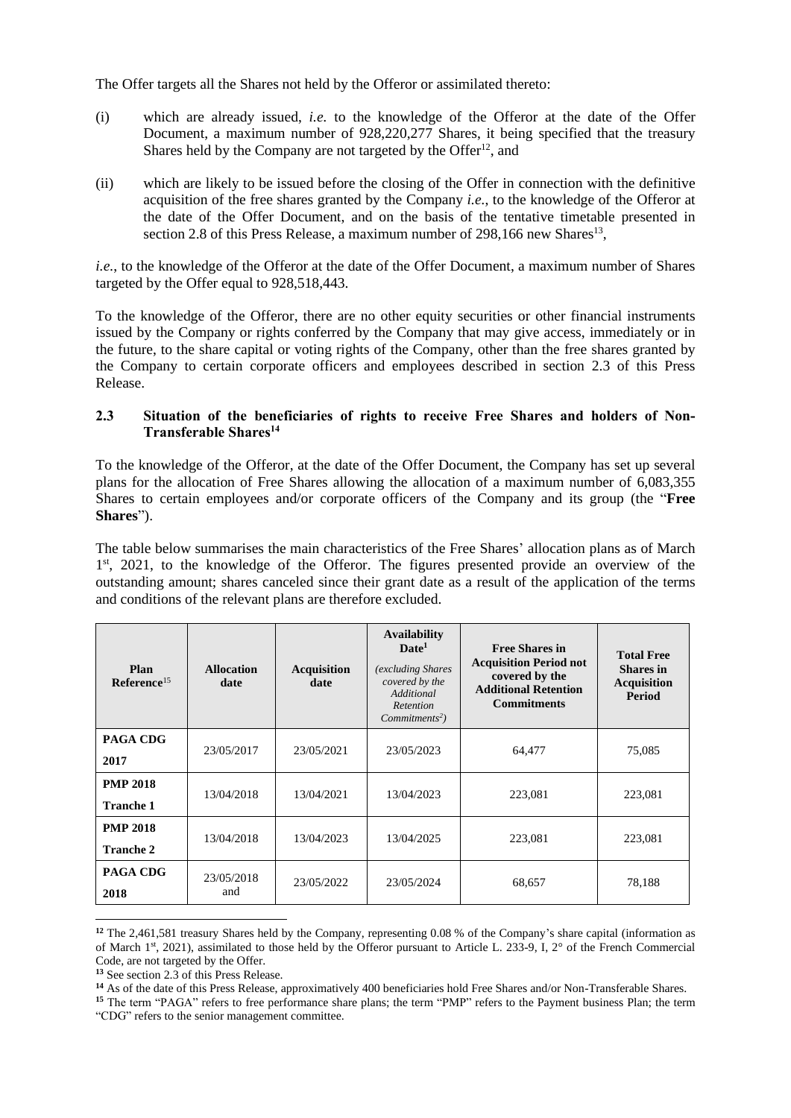The Offer targets all the Shares not held by the Offeror or assimilated thereto:

- (i) which are already issued, *i.e.* to the knowledge of the Offeror at the date of the Offer Document, a maximum number of 928,220,277 Shares, it being specified that the treasury Shares held by the Company are not targeted by the Offer<sup>12</sup>, and
- (ii) which are likely to be issued before the closing of the Offer in connection with the definitive acquisition of the free shares granted by the Company *i.e.*, to the knowledge of the Offeror at the date of the Offer Document, and on the basis of the tentative timetable presented in section 2.8 of this Press Release, a maximum number of 298,166 new Shares<sup>13</sup>,

*i.e.*, to the knowledge of the Offeror at the date of the Offer Document, a maximum number of Shares targeted by the Offer equal to 928,518,443.

To the knowledge of the Offeror, there are no other equity securities or other financial instruments issued by the Company or rights conferred by the Company that may give access, immediately or in the future, to the share capital or voting rights of the Company, other than the free shares granted by the Company to certain corporate officers and employees described in section 2.3 of this Press Release.

### **2.3 Situation of the beneficiaries of rights to receive Free Shares and holders of Non-Transferable Shares<sup>14</sup>**

To the knowledge of the Offeror, at the date of the Offer Document, the Company has set up several plans for the allocation of Free Shares allowing the allocation of a maximum number of 6,083,355 Shares to certain employees and/or corporate officers of the Company and its group (the "**Free Shares**").

The table below summarises the main characteristics of the Free Shares' allocation plans as of March 1<sup>st</sup>, 2021, to the knowledge of the Offeror. The figures presented provide an overview of the outstanding amount; shares canceled since their grant date as a result of the application of the terms and conditions of the relevant plans are therefore excluded.

| Plan<br>Reference <sup>15</sup>     | <b>Allocation</b><br>date | <b>Acquisition</b><br>date | <b>Availability</b><br>$\mathbf{Date}^1$<br>(excluding Shares<br>covered by the<br>Additional<br>Retention<br>$Commitments2$ ) | <b>Free Shares in</b><br><b>Acquisition Period not</b><br>covered by the<br><b>Additional Retention</b><br><b>Commitments</b> | <b>Total Free</b><br><b>Shares</b> in<br><b>Acquisition</b><br>Period |  |
|-------------------------------------|---------------------------|----------------------------|--------------------------------------------------------------------------------------------------------------------------------|-------------------------------------------------------------------------------------------------------------------------------|-----------------------------------------------------------------------|--|
| <b>PAGA CDG</b><br>2017             | 23/05/2017                | 23/05/2021                 | 23/05/2023                                                                                                                     | 64,477                                                                                                                        | 75,085                                                                |  |
| <b>PMP 2018</b><br><b>Tranche 1</b> | 13/04/2018                | 13/04/2021                 | 13/04/2023                                                                                                                     | 223,081                                                                                                                       | 223,081                                                               |  |
| <b>PMP 2018</b><br><b>Tranche 2</b> | 13/04/2018                | 13/04/2023                 | 13/04/2025                                                                                                                     | 223,081                                                                                                                       | 223,081                                                               |  |
| <b>PAGA CDG</b><br>2018             | 23/05/2018<br>and         | 23/05/2022                 | 23/05/2024                                                                                                                     | 68,657                                                                                                                        | 78,188                                                                |  |

**<sup>12</sup>** The 2,461,581 treasury Shares held by the Company, representing 0.08 % of the Company's share capital (information as of March 1<sup>st</sup>, 2021), assimilated to those held by the Offeror pursuant to Article L. 233-9, I, 2° of the French Commercial Code, are not targeted by the Offer.

**<sup>13</sup>** See section 2.3 of this Press Release.

**<sup>14</sup>** As of the date of this Press Release, approximatively 400 beneficiaries hold Free Shares and/or Non-Transferable Shares.

**<sup>15</sup>** The term "PAGA" refers to free performance share plans; the term "PMP" refers to the Payment business Plan; the term "CDG" refers to the senior management committee.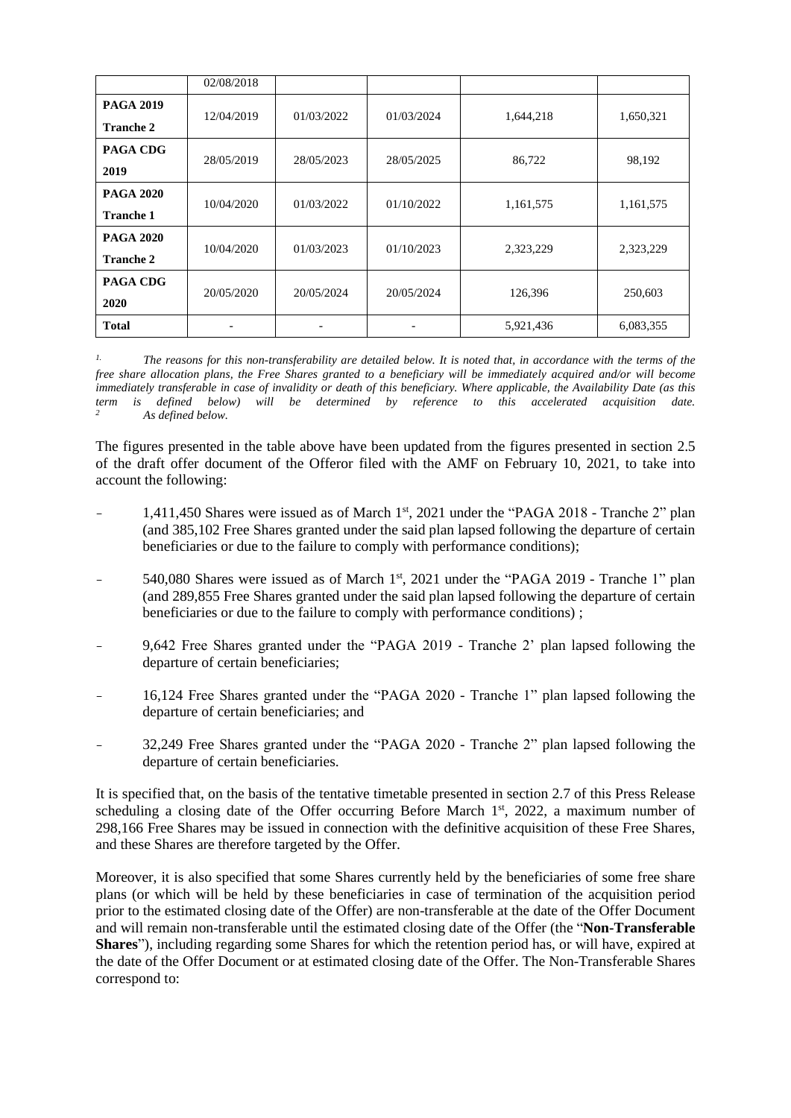|                  | 02/08/2018 |            |            |           |           |  |  |
|------------------|------------|------------|------------|-----------|-----------|--|--|
| <b>PAGA 2019</b> | 12/04/2019 | 01/03/2022 | 01/03/2024 | 1,644,218 | 1,650,321 |  |  |
| <b>Tranche 2</b> |            |            |            |           |           |  |  |
| PAGA CDG         | 28/05/2019 | 28/05/2023 | 28/05/2025 | 86,722    | 98,192    |  |  |
| 2019             |            |            |            |           |           |  |  |
| <b>PAGA 2020</b> | 10/04/2020 | 01/03/2022 | 01/10/2022 | 1,161,575 | 1,161,575 |  |  |
| <b>Tranche 1</b> |            |            |            |           |           |  |  |
| <b>PAGA 2020</b> | 10/04/2020 | 01/03/2023 | 01/10/2023 | 2,323,229 | 2,323,229 |  |  |
| <b>Tranche 2</b> |            |            |            |           |           |  |  |
| <b>PAGA CDG</b>  |            |            |            |           |           |  |  |
| 2020             | 20/05/2020 | 20/05/2024 | 20/05/2024 | 126,396   | 250,603   |  |  |
| <b>Total</b>     |            |            |            | 5,921,436 | 6,083,355 |  |  |

*1. The reasons for this non-transferability are detailed below. It is noted that, in accordance with the terms of the free share allocation plans, the Free Shares granted to a beneficiary will be immediately acquired and/or will become immediately transferable in case of invalidity or death of this beneficiary. Where applicable, the Availability Date (as this term is defined below) will be determined by reference to this accelerated acquisition date. <sup>2</sup> As defined below.*

The figures presented in the table above have been updated from the figures presented in section 2.5 of the draft offer document of the Offeror filed with the AMF on February 10, 2021, to take into account the following:

- 1,411,450 Shares were issued as of March 1<sup>st</sup>, 2021 under the "PAGA 2018 Tranche 2" plan (and 385,102 Free Shares granted under the said plan lapsed following the departure of certain beneficiaries or due to the failure to comply with performance conditions);
- 540,080 Shares were issued as of March 1<sup>st</sup>, 2021 under the "PAGA 2019 Tranche 1" plan (and 289,855 Free Shares granted under the said plan lapsed following the departure of certain beneficiaries or due to the failure to comply with performance conditions) ;
- 9,642 Free Shares granted under the "PAGA 2019 Tranche 2' plan lapsed following the departure of certain beneficiaries;
- 16,124 Free Shares granted under the "PAGA 2020 Tranche 1" plan lapsed following the departure of certain beneficiaries; and
- 32,249 Free Shares granted under the "PAGA 2020 Tranche 2" plan lapsed following the departure of certain beneficiaries.

It is specified that, on the basis of the tentative timetable presented in section 2.7 of this Press Release scheduling a closing date of the Offer occurring Before March  $1<sup>st</sup>$ , 2022, a maximum number of 298,166 Free Shares may be issued in connection with the definitive acquisition of these Free Shares, and these Shares are therefore targeted by the Offer.

Moreover, it is also specified that some Shares currently held by the beneficiaries of some free share plans (or which will be held by these beneficiaries in case of termination of the acquisition period prior to the estimated closing date of the Offer) are non-transferable at the date of the Offer Document and will remain non-transferable until the estimated closing date of the Offer (the "**Non-Transferable Shares**"), including regarding some Shares for which the retention period has, or will have, expired at the date of the Offer Document or at estimated closing date of the Offer. The Non-Transferable Shares correspond to: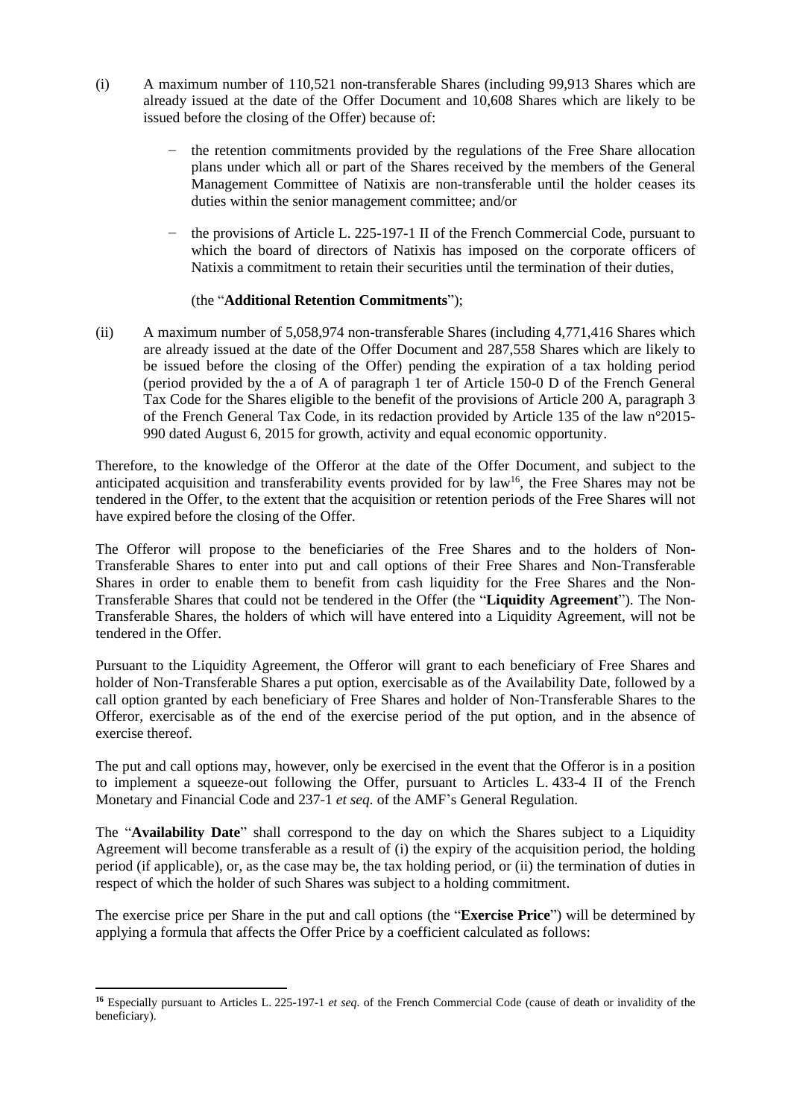- (i) A maximum number of 110,521 non-transferable Shares (including 99,913 Shares which are already issued at the date of the Offer Document and 10,608 Shares which are likely to be issued before the closing of the Offer) because of:
	- the retention commitments provided by the regulations of the Free Share allocation plans under which all or part of the Shares received by the members of the General Management Committee of Natixis are non-transferable until the holder ceases its duties within the senior management committee; and/or
	- − the provisions of Article L. 225-197-1 II of the French Commercial Code, pursuant to which the board of directors of Natixis has imposed on the corporate officers of Natixis a commitment to retain their securities until the termination of their duties,

## (the "**Additional Retention Commitments**");

(ii) A maximum number of 5,058,974 non-transferable Shares (including 4,771,416 Shares which are already issued at the date of the Offer Document and 287,558 Shares which are likely to be issued before the closing of the Offer) pending the expiration of a tax holding period (period provided by the a of A of paragraph 1 ter of Article 150-0 D of the French General Tax Code for the Shares eligible to the benefit of the provisions of Article 200 A, paragraph 3 of the French General Tax Code, in its redaction provided by Article 135 of the law n°2015- 990 dated August 6, 2015 for growth, activity and equal economic opportunity.

Therefore, to the knowledge of the Offeror at the date of the Offer Document, and subject to the anticipated acquisition and transferability events provided for by law<sup>16</sup>, the Free Shares may not be tendered in the Offer, to the extent that the acquisition or retention periods of the Free Shares will not have expired before the closing of the Offer.

The Offeror will propose to the beneficiaries of the Free Shares and to the holders of Non-Transferable Shares to enter into put and call options of their Free Shares and Non-Transferable Shares in order to enable them to benefit from cash liquidity for the Free Shares and the Non-Transferable Shares that could not be tendered in the Offer (the "**Liquidity Agreement**"). The Non-Transferable Shares, the holders of which will have entered into a Liquidity Agreement, will not be tendered in the Offer.

Pursuant to the Liquidity Agreement, the Offeror will grant to each beneficiary of Free Shares and holder of Non-Transferable Shares a put option, exercisable as of the Availability Date, followed by a call option granted by each beneficiary of Free Shares and holder of Non-Transferable Shares to the Offeror, exercisable as of the end of the exercise period of the put option, and in the absence of exercise thereof.

The put and call options may, however, only be exercised in the event that the Offeror is in a position to implement a squeeze-out following the Offer, pursuant to Articles L. 433-4 II of the French Monetary and Financial Code and 237-1 *et seq.* of the AMF's General Regulation.

The "**Availability Date**" shall correspond to the day on which the Shares subject to a Liquidity Agreement will become transferable as a result of (i) the expiry of the acquisition period, the holding period (if applicable), or, as the case may be, the tax holding period, or (ii) the termination of duties in respect of which the holder of such Shares was subject to a holding commitment.

The exercise price per Share in the put and call options (the "**Exercise Price**") will be determined by applying a formula that affects the Offer Price by a coefficient calculated as follows:

**<sup>16</sup>** Especially pursuant to Articles L. 225-197-1 *et seq.* of the French Commercial Code (cause of death or invalidity of the beneficiary).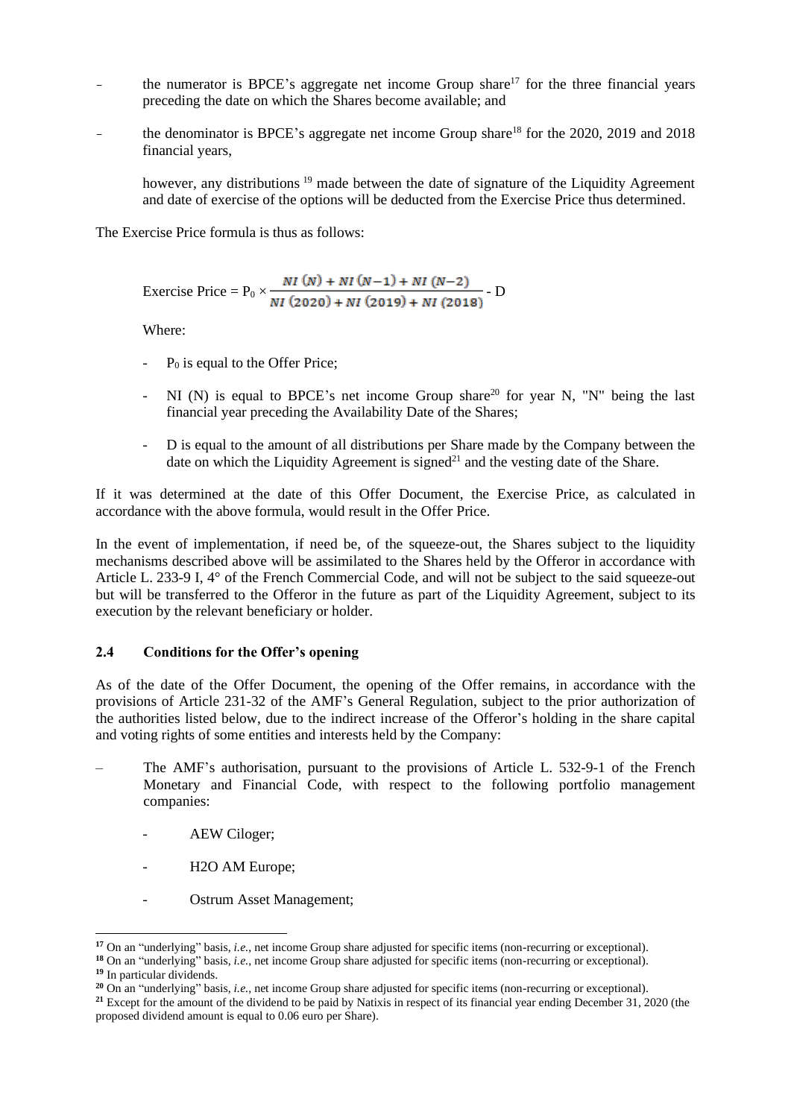- the numerator is BPCE's aggregate net income Group share<sup>17</sup> for the three financial years preceding the date on which the Shares become available; and
- the denominator is BPCE's aggregate net income Group share<sup>18</sup> for the 2020, 2019 and 2018 financial years,

however, any distributions<sup>19</sup> made between the date of signature of the Liquidity Agreement and date of exercise of the options will be deducted from the Exercise Price thus determined.

The Exercise Price formula is thus as follows:

Exercise Price = 
$$
P_0 \times \frac{NI(N) + NI(N-1) + NI(N-2)}{NI(2020) + NI(2019) + NI(2018)}
$$
 - D

Where:

- $-P<sub>0</sub>$  is equal to the Offer Price:
- NI (N) is equal to BPCE's net income Group share<sup>20</sup> for year N, "N" being the last financial year preceding the Availability Date of the Shares;
- D is equal to the amount of all distributions per Share made by the Company between the date on which the Liquidity Agreement is signed<sup>21</sup> and the vesting date of the Share.

If it was determined at the date of this Offer Document, the Exercise Price, as calculated in accordance with the above formula, would result in the Offer Price.

In the event of implementation, if need be, of the squeeze-out, the Shares subject to the liquidity mechanisms described above will be assimilated to the Shares held by the Offeror in accordance with Article L. 233-9 I, 4° of the French Commercial Code, and will not be subject to the said squeeze-out but will be transferred to the Offeror in the future as part of the Liquidity Agreement, subject to its execution by the relevant beneficiary or holder.

#### **2.4 Conditions for the Offer's opening**

As of the date of the Offer Document, the opening of the Offer remains, in accordance with the provisions of Article 231-32 of the AMF's General Regulation, subject to the prior authorization of the authorities listed below, due to the indirect increase of the Offeror's holding in the share capital and voting rights of some entities and interests held by the Company:

- ‒ The AMF's authorisation, pursuant to the provisions of Article L. 532-9-1 of the French Monetary and Financial Code, with respect to the following portfolio management companies:
	- AEW Ciloger;
	- H2O AM Europe;
	- Ostrum Asset Management;

**<sup>17</sup>** On an "underlying" basis, *i.e.*, net income Group share adjusted for specific items (non-recurring or exceptional).

**<sup>18</sup>** On an "underlying" basis, *i.e.*, net income Group share adjusted for specific items (non-recurring or exceptional). **<sup>19</sup>** In particular dividends.

**<sup>20</sup>** On an "underlying" basis, *i.e.*, net income Group share adjusted for specific items (non-recurring or exceptional).

**<sup>21</sup>** Except for the amount of the dividend to be paid by Natixis in respect of its financial year ending December 31, 2020 (the proposed dividend amount is equal to 0.06 euro per Share).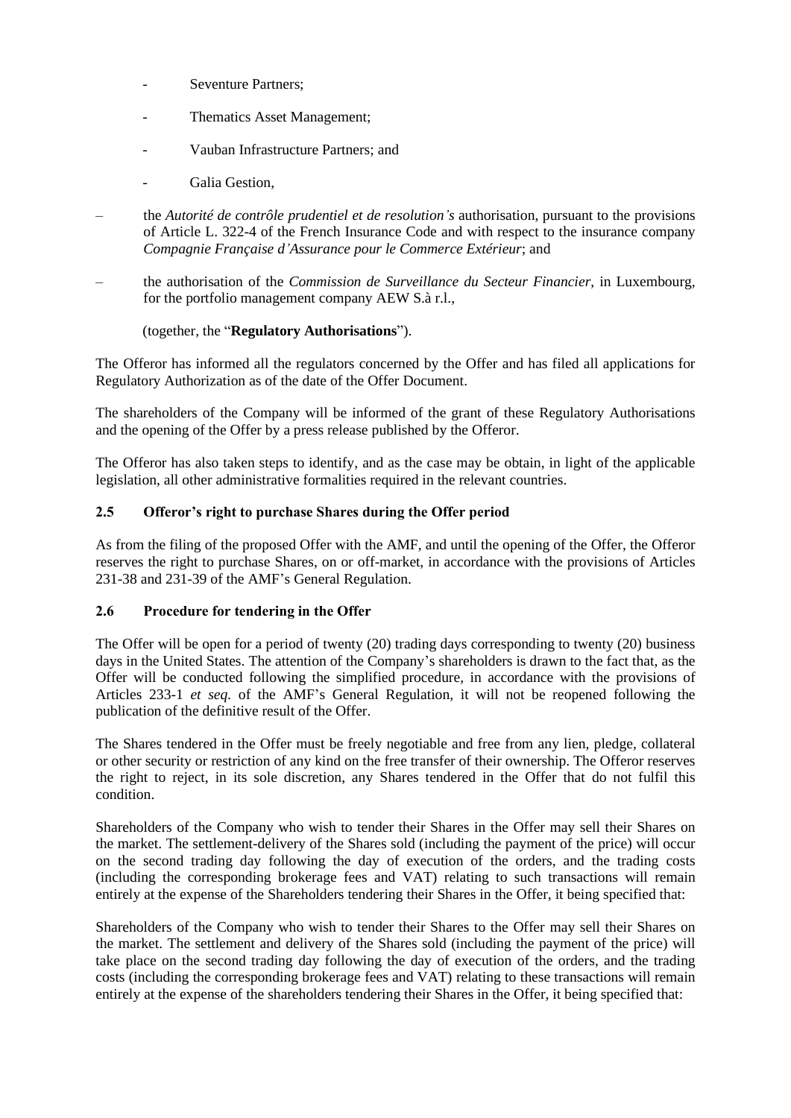- Seventure Partners:
- Thematics Asset Management:
- Vauban Infrastructure Partners; and
- Galia Gestion,
- ‒ the *Autorité de contrôle prudentiel et de resolution's* authorisation, pursuant to the provisions of Article L. 322-4 of the French Insurance Code and with respect to the insurance company *Compagnie Française d'Assurance pour le Commerce Extérieur*; and
- ‒ the authorisation of the *Commission de Surveillance du Secteur Financier*, in Luxembourg, for the portfolio management company AEW S.à r.l.,

#### (together, the "**Regulatory Authorisations**").

The Offeror has informed all the regulators concerned by the Offer and has filed all applications for Regulatory Authorization as of the date of the Offer Document.

The shareholders of the Company will be informed of the grant of these Regulatory Authorisations and the opening of the Offer by a press release published by the Offeror.

The Offeror has also taken steps to identify, and as the case may be obtain, in light of the applicable legislation, all other administrative formalities required in the relevant countries.

#### **2.5 Offeror's right to purchase Shares during the Offer period**

As from the filing of the proposed Offer with the AMF, and until the opening of the Offer, the Offeror reserves the right to purchase Shares, on or off-market, in accordance with the provisions of Articles 231-38 and 231-39 of the AMF's General Regulation.

#### **2.6 Procedure for tendering in the Offer**

The Offer will be open for a period of twenty (20) trading days corresponding to twenty (20) business days in the United States. The attention of the Company's shareholders is drawn to the fact that, as the Offer will be conducted following the simplified procedure, in accordance with the provisions of Articles 233-1 *et seq.* of the AMF's General Regulation, it will not be reopened following the publication of the definitive result of the Offer.

The Shares tendered in the Offer must be freely negotiable and free from any lien, pledge, collateral or other security or restriction of any kind on the free transfer of their ownership. The Offeror reserves the right to reject, in its sole discretion, any Shares tendered in the Offer that do not fulfil this condition.

Shareholders of the Company who wish to tender their Shares in the Offer may sell their Shares on the market. The settlement-delivery of the Shares sold (including the payment of the price) will occur on the second trading day following the day of execution of the orders, and the trading costs (including the corresponding brokerage fees and VAT) relating to such transactions will remain entirely at the expense of the Shareholders tendering their Shares in the Offer, it being specified that:

Shareholders of the Company who wish to tender their Shares to the Offer may sell their Shares on the market. The settlement and delivery of the Shares sold (including the payment of the price) will take place on the second trading day following the day of execution of the orders, and the trading costs (including the corresponding brokerage fees and VAT) relating to these transactions will remain entirely at the expense of the shareholders tendering their Shares in the Offer, it being specified that: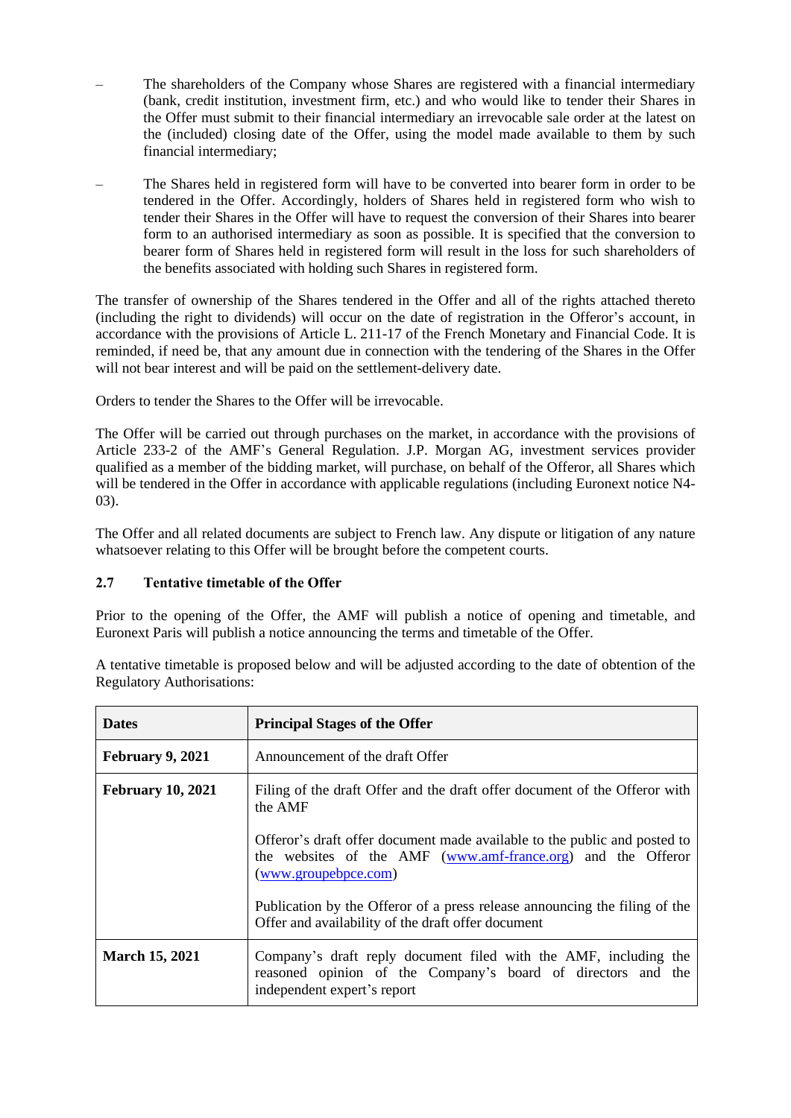- ‒ The shareholders of the Company whose Shares are registered with a financial intermediary (bank, credit institution, investment firm, etc.) and who would like to tender their Shares in the Offer must submit to their financial intermediary an irrevocable sale order at the latest on the (included) closing date of the Offer, using the model made available to them by such financial intermediary;
- ‒ The Shares held in registered form will have to be converted into bearer form in order to be tendered in the Offer. Accordingly, holders of Shares held in registered form who wish to tender their Shares in the Offer will have to request the conversion of their Shares into bearer form to an authorised intermediary as soon as possible. It is specified that the conversion to bearer form of Shares held in registered form will result in the loss for such shareholders of the benefits associated with holding such Shares in registered form.

The transfer of ownership of the Shares tendered in the Offer and all of the rights attached thereto (including the right to dividends) will occur on the date of registration in the Offeror's account, in accordance with the provisions of Article L. 211-17 of the French Monetary and Financial Code. It is reminded, if need be, that any amount due in connection with the tendering of the Shares in the Offer will not bear interest and will be paid on the settlement-delivery date.

Orders to tender the Shares to the Offer will be irrevocable.

The Offer will be carried out through purchases on the market, in accordance with the provisions of Article 233-2 of the AMF's General Regulation. J.P. Morgan AG, investment services provider qualified as a member of the bidding market, will purchase, on behalf of the Offeror, all Shares which will be tendered in the Offer in accordance with applicable regulations (including Euronext notice N4- 03).

The Offer and all related documents are subject to French law. Any dispute or litigation of any nature whatsoever relating to this Offer will be brought before the competent courts.

## **2.7 Tentative timetable of the Offer**

Prior to the opening of the Offer, the AMF will publish a notice of opening and timetable, and Euronext Paris will publish a notice announcing the terms and timetable of the Offer.

A tentative timetable is proposed below and will be adjusted according to the date of obtention of the Regulatory Authorisations:

| <b>Dates</b>             | <b>Principal Stages of the Offer</b>                                                                                                                              |  |  |  |  |
|--------------------------|-------------------------------------------------------------------------------------------------------------------------------------------------------------------|--|--|--|--|
| February 9, 2021         | Announcement of the draft Offer                                                                                                                                   |  |  |  |  |
| <b>February 10, 2021</b> | Filing of the draft Offer and the draft offer document of the Offeror with<br>the AMF                                                                             |  |  |  |  |
|                          | Offeror's draft offer document made available to the public and posted to<br>the websites of the AMF (www.amf-france.org) and the Offeror<br>(www.groupebpce.com) |  |  |  |  |
|                          | Publication by the Offeror of a press release announcing the filing of the<br>Offer and availability of the draft offer document                                  |  |  |  |  |
| <b>March 15, 2021</b>    | Company's draft reply document filed with the AMF, including the<br>reasoned opinion of the Company's board of directors and the<br>independent expert's report   |  |  |  |  |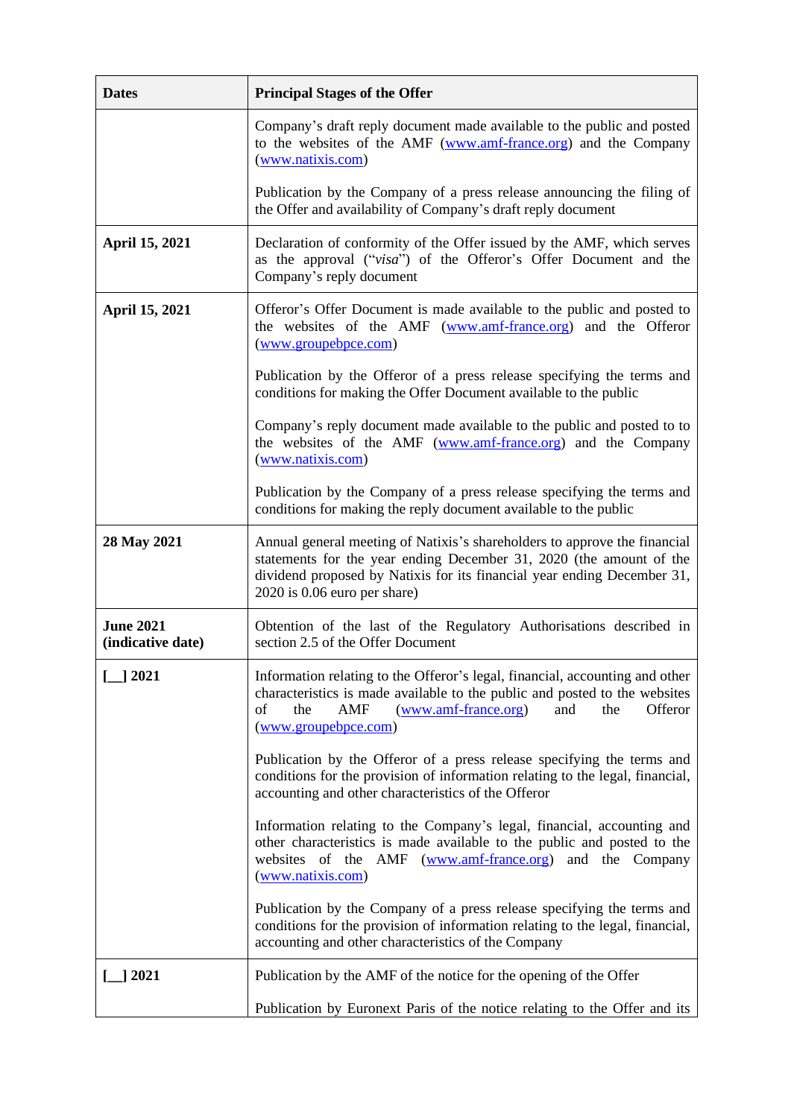| <b>Dates</b>                          | <b>Principal Stages of the Offer</b>                                                                                                                                                                                                                        |  |  |  |  |  |  |
|---------------------------------------|-------------------------------------------------------------------------------------------------------------------------------------------------------------------------------------------------------------------------------------------------------------|--|--|--|--|--|--|
|                                       | Company's draft reply document made available to the public and posted<br>to the websites of the AMF (www.amf-france.org) and the Company<br>(www.natixis.com)                                                                                              |  |  |  |  |  |  |
|                                       | Publication by the Company of a press release announcing the filing of<br>the Offer and availability of Company's draft reply document                                                                                                                      |  |  |  |  |  |  |
| <b>April 15, 2021</b>                 | Declaration of conformity of the Offer issued by the AMF, which serves<br>as the approval ("visa") of the Offeror's Offer Document and the<br>Company's reply document                                                                                      |  |  |  |  |  |  |
| <b>April 15, 2021</b>                 | Offeror's Offer Document is made available to the public and posted to<br>the websites of the AMF (www.amf-france.org) and the Offeror<br>(www.groupebpce.com)                                                                                              |  |  |  |  |  |  |
|                                       | Publication by the Offeror of a press release specifying the terms and<br>conditions for making the Offer Document available to the public                                                                                                                  |  |  |  |  |  |  |
|                                       | Company's reply document made available to the public and posted to to<br>the websites of the AMF (www.amf-france.org) and the Company<br>(www.natixis.com)                                                                                                 |  |  |  |  |  |  |
|                                       | Publication by the Company of a press release specifying the terms and<br>conditions for making the reply document available to the public                                                                                                                  |  |  |  |  |  |  |
| 28 May 2021                           | Annual general meeting of Natixis's shareholders to approve the financial<br>statements for the year ending December 31, 2020 (the amount of the<br>dividend proposed by Natixis for its financial year ending December 31,<br>2020 is 0.06 euro per share) |  |  |  |  |  |  |
| <b>June 2021</b><br>(indicative date) | Obtention of the last of the Regulatory Authorisations described in<br>section 2.5 of the Offer Document                                                                                                                                                    |  |  |  |  |  |  |
| 2021                                  | Information relating to the Offeror's legal, financial, accounting and other<br>characteristics is made available to the public and posted to the websites<br>AMF<br>(www.amf-france.org)<br>Offeror<br>of<br>the<br>and<br>the<br>(www.groupebpce.com)     |  |  |  |  |  |  |
|                                       | Publication by the Offeror of a press release specifying the terms and<br>conditions for the provision of information relating to the legal, financial,<br>accounting and other characteristics of the Offeror                                              |  |  |  |  |  |  |
|                                       | Information relating to the Company's legal, financial, accounting and<br>other characteristics is made available to the public and posted to the<br>websites of the AMF (www.amf-france.org) and the Company<br>(www.natixis.com)                          |  |  |  |  |  |  |
|                                       | Publication by the Company of a press release specifying the terms and<br>conditions for the provision of information relating to the legal, financial,<br>accounting and other characteristics of the Company                                              |  |  |  |  |  |  |
| ] 2021                                | Publication by the AMF of the notice for the opening of the Offer                                                                                                                                                                                           |  |  |  |  |  |  |
|                                       | Publication by Euronext Paris of the notice relating to the Offer and its                                                                                                                                                                                   |  |  |  |  |  |  |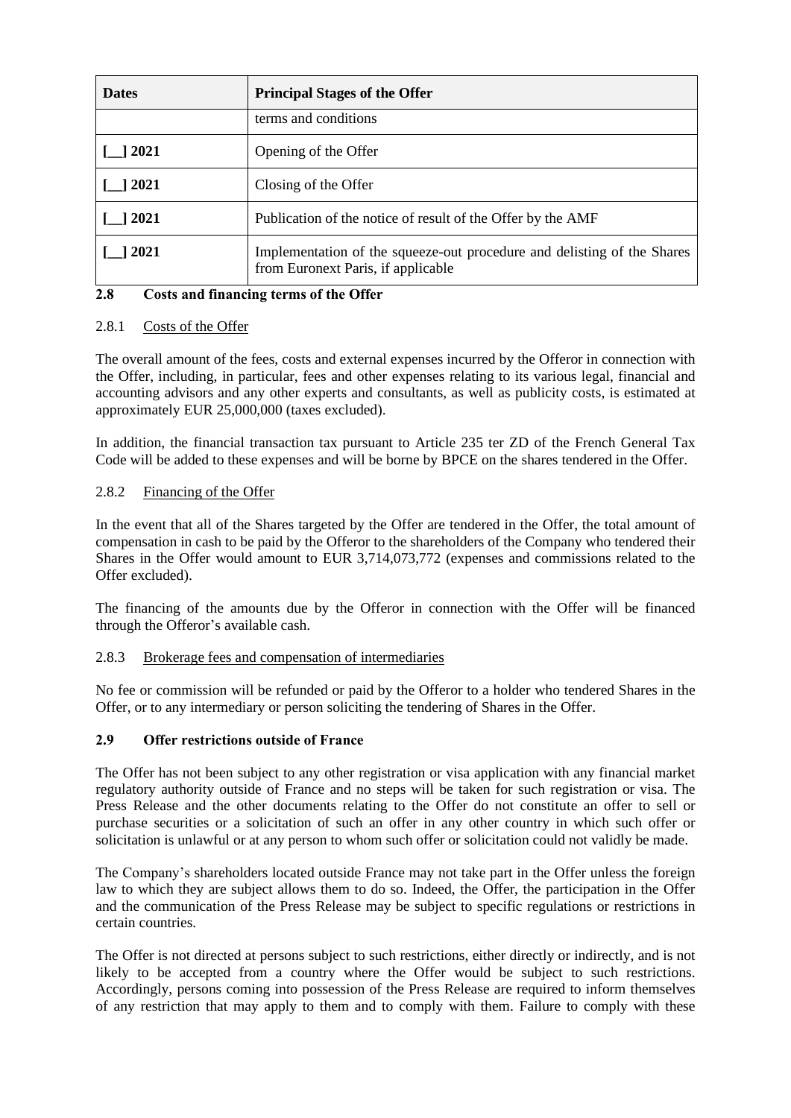| <b>Dates</b> | <b>Principal Stages of the Offer</b>                                                                          |
|--------------|---------------------------------------------------------------------------------------------------------------|
|              | terms and conditions                                                                                          |
| 12021        | Opening of the Offer                                                                                          |
| 12021        | Closing of the Offer                                                                                          |
| 12021        | Publication of the notice of result of the Offer by the AMF                                                   |
| 2021         | Implementation of the squeeze-out procedure and delisting of the Shares<br>from Euronext Paris, if applicable |

## **2.8 Costs and financing terms of the Offer**

## 2.8.1 Costs of the Offer

The overall amount of the fees, costs and external expenses incurred by the Offeror in connection with the Offer, including, in particular, fees and other expenses relating to its various legal, financial and accounting advisors and any other experts and consultants, as well as publicity costs, is estimated at approximately EUR 25,000,000 (taxes excluded).

In addition, the financial transaction tax pursuant to Article 235 ter ZD of the French General Tax Code will be added to these expenses and will be borne by BPCE on the shares tendered in the Offer.

## 2.8.2 Financing of the Offer

In the event that all of the Shares targeted by the Offer are tendered in the Offer, the total amount of compensation in cash to be paid by the Offeror to the shareholders of the Company who tendered their Shares in the Offer would amount to EUR 3,714,073,772 (expenses and commissions related to the Offer excluded).

The financing of the amounts due by the Offeror in connection with the Offer will be financed through the Offeror's available cash.

#### 2.8.3 Brokerage fees and compensation of intermediaries

No fee or commission will be refunded or paid by the Offeror to a holder who tendered Shares in the Offer, or to any intermediary or person soliciting the tendering of Shares in the Offer.

#### **2.9 Offer restrictions outside of France**

The Offer has not been subject to any other registration or visa application with any financial market regulatory authority outside of France and no steps will be taken for such registration or visa. The Press Release and the other documents relating to the Offer do not constitute an offer to sell or purchase securities or a solicitation of such an offer in any other country in which such offer or solicitation is unlawful or at any person to whom such offer or solicitation could not validly be made.

The Company's shareholders located outside France may not take part in the Offer unless the foreign law to which they are subject allows them to do so. Indeed, the Offer, the participation in the Offer and the communication of the Press Release may be subject to specific regulations or restrictions in certain countries.

The Offer is not directed at persons subject to such restrictions, either directly or indirectly, and is not likely to be accepted from a country where the Offer would be subject to such restrictions. Accordingly, persons coming into possession of the Press Release are required to inform themselves of any restriction that may apply to them and to comply with them. Failure to comply with these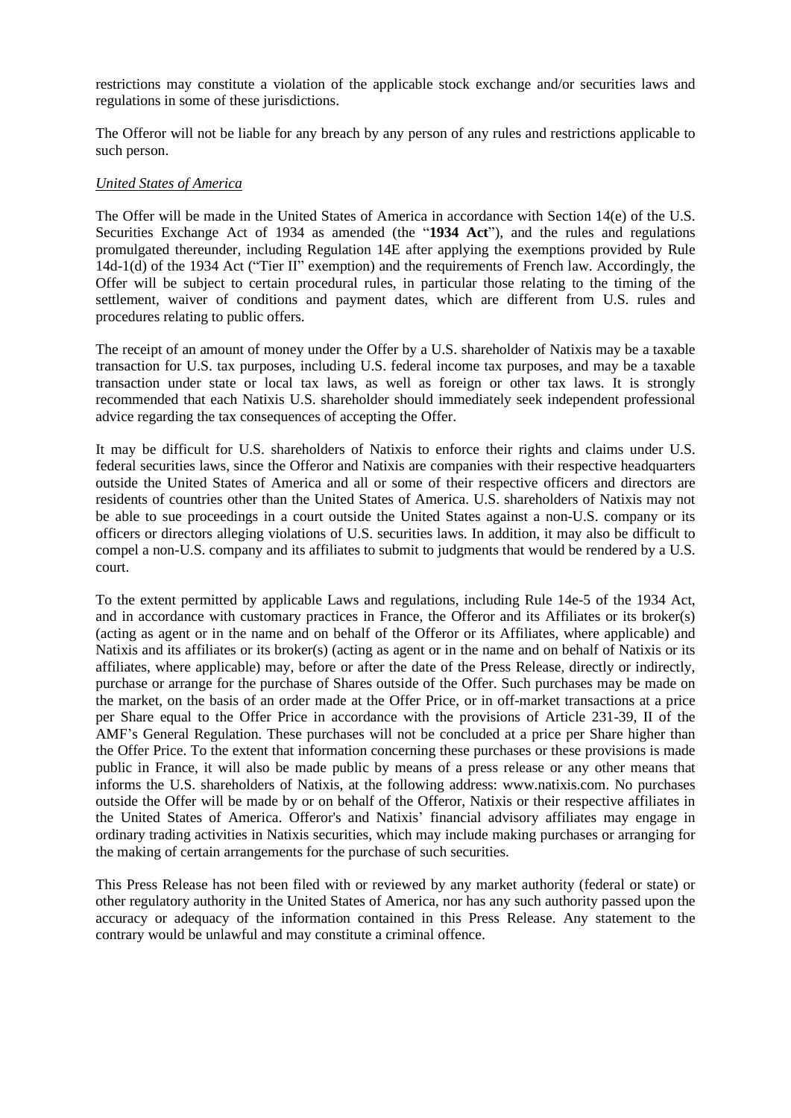restrictions may constitute a violation of the applicable stock exchange and/or securities laws and regulations in some of these jurisdictions.

The Offeror will not be liable for any breach by any person of any rules and restrictions applicable to such person.

#### *United States of America*

The Offer will be made in the United States of America in accordance with Section 14(e) of the U.S. Securities Exchange Act of 1934 as amended (the "**1934 Act**"), and the rules and regulations promulgated thereunder, including Regulation 14E after applying the exemptions provided by Rule 14d-1(d) of the 1934 Act ("Tier II" exemption) and the requirements of French law. Accordingly, the Offer will be subject to certain procedural rules, in particular those relating to the timing of the settlement, waiver of conditions and payment dates, which are different from U.S. rules and procedures relating to public offers.

The receipt of an amount of money under the Offer by a U.S. shareholder of Natixis may be a taxable transaction for U.S. tax purposes, including U.S. federal income tax purposes, and may be a taxable transaction under state or local tax laws, as well as foreign or other tax laws. It is strongly recommended that each Natixis U.S. shareholder should immediately seek independent professional advice regarding the tax consequences of accepting the Offer.

It may be difficult for U.S. shareholders of Natixis to enforce their rights and claims under U.S. federal securities laws, since the Offeror and Natixis are companies with their respective headquarters outside the United States of America and all or some of their respective officers and directors are residents of countries other than the United States of America. U.S. shareholders of Natixis may not be able to sue proceedings in a court outside the United States against a non-U.S. company or its officers or directors alleging violations of U.S. securities laws. In addition, it may also be difficult to compel a non-U.S. company and its affiliates to submit to judgments that would be rendered by a U.S. court.

To the extent permitted by applicable Laws and regulations, including Rule 14e-5 of the 1934 Act, and in accordance with customary practices in France, the Offeror and its Affiliates or its broker(s) (acting as agent or in the name and on behalf of the Offeror or its Affiliates, where applicable) and Natixis and its affiliates or its broker(s) (acting as agent or in the name and on behalf of Natixis or its affiliates, where applicable) may, before or after the date of the Press Release, directly or indirectly, purchase or arrange for the purchase of Shares outside of the Offer. Such purchases may be made on the market, on the basis of an order made at the Offer Price, or in off-market transactions at a price per Share equal to the Offer Price in accordance with the provisions of Article 231-39, II of the AMF's General Regulation. These purchases will not be concluded at a price per Share higher than the Offer Price. To the extent that information concerning these purchases or these provisions is made public in France, it will also be made public by means of a press release or any other means that informs the U.S. shareholders of Natixis, at the following address: www.natixis.com. No purchases outside the Offer will be made by or on behalf of the Offeror, Natixis or their respective affiliates in the United States of America. Offeror's and Natixis' financial advisory affiliates may engage in ordinary trading activities in Natixis securities, which may include making purchases or arranging for the making of certain arrangements for the purchase of such securities.

This Press Release has not been filed with or reviewed by any market authority (federal or state) or other regulatory authority in the United States of America, nor has any such authority passed upon the accuracy or adequacy of the information contained in this Press Release. Any statement to the contrary would be unlawful and may constitute a criminal offence.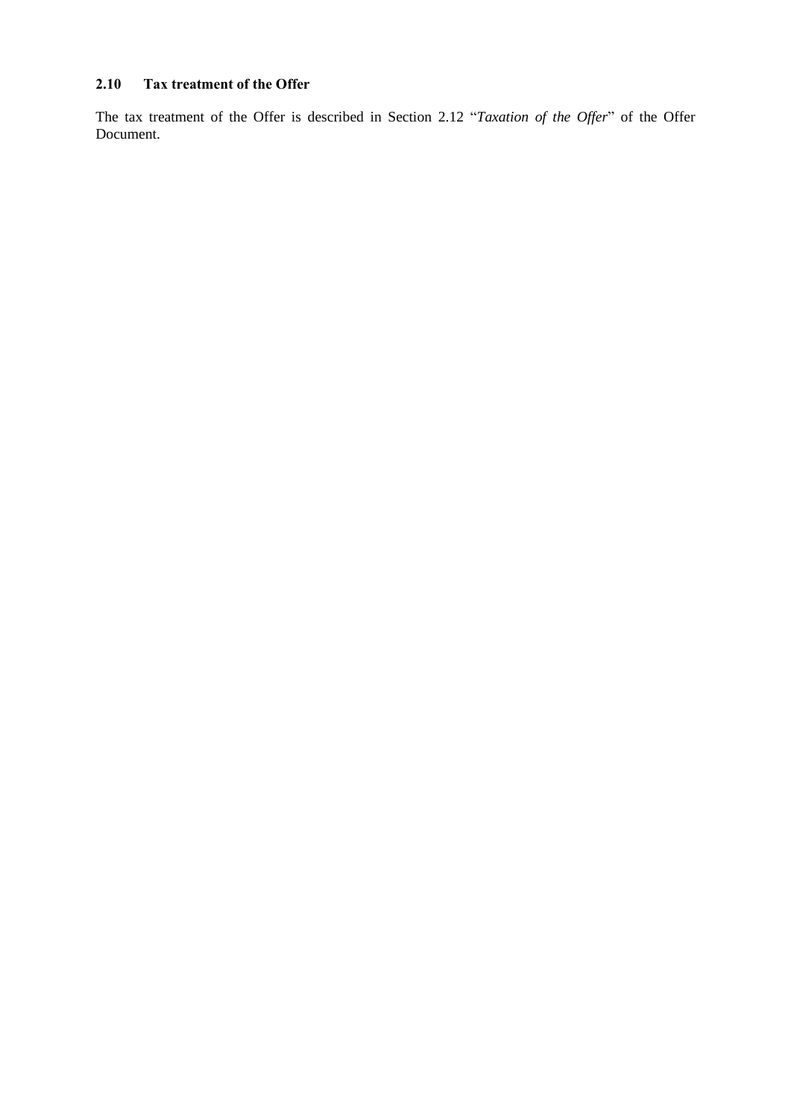## **2.10 Tax treatment of the Offer**

The tax treatment of the Offer is described in Section 2.12 "*Taxation of the Offer*" of the Offer Document.